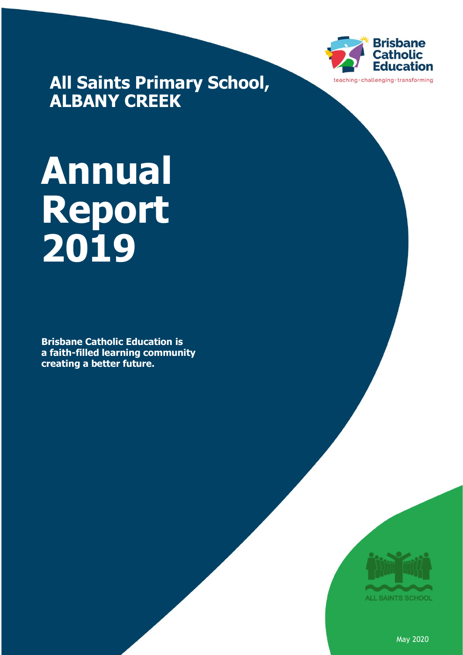

**All Saints Primary School, ALBANY CREEK**

# **Annual Report 2019**

**Brisbane Catholic Education is a faith-filled learning community creating a better future.**



May 2020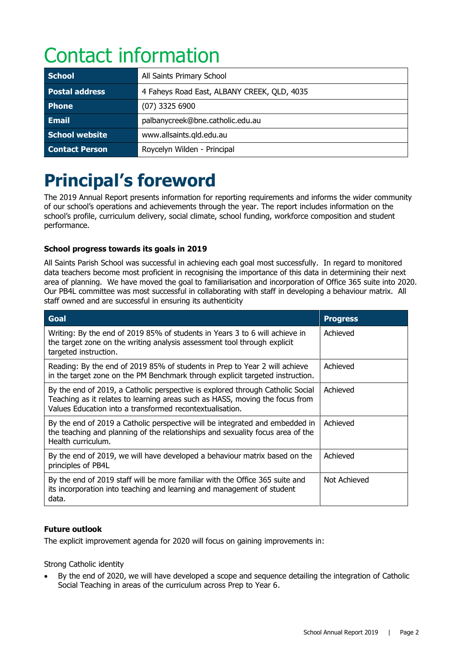# Contact information

| <b>School</b>         | All Saints Primary School                   |
|-----------------------|---------------------------------------------|
| <b>Postal address</b> | 4 Faheys Road East, ALBANY CREEK, QLD, 4035 |
| <b>Phone</b>          | $(07)$ 3325 6900                            |
| <b>Email</b>          | palbanycreek@bne.catholic.edu.au            |
| <b>School website</b> | www.allsaints.gld.edu.au                    |
| <b>Contact Person</b> | Roycelyn Wilden - Principal                 |

# **Principal's foreword**

The 2019 Annual Report presents information for reporting requirements and informs the wider community of our school's operations and achievements through the year. The report includes information on the school's profile, curriculum delivery, social climate, school funding, workforce composition and student performance.

#### **School progress towards its goals in 2019**

All Saints Parish School was successful in achieving each goal most successfully. In regard to monitored data teachers become most proficient in recognising the importance of this data in determining their next area of planning. We have moved the goal to familiarisation and incorporation of Office 365 suite into 2020. Our PB4L committee was most successful in collaborating with staff in developing a behaviour matrix. All staff owned and are successful in ensuring its authenticity

| <b>Goal</b>                                                                                                                                                                                                                | <b>Progress</b> |
|----------------------------------------------------------------------------------------------------------------------------------------------------------------------------------------------------------------------------|-----------------|
| Writing: By the end of 2019 85% of students in Years 3 to 6 will achieve in<br>the target zone on the writing analysis assessment tool through explicit<br>targeted instruction.                                           | Achieved        |
| Reading: By the end of 2019 85% of students in Prep to Year 2 will achieve<br>in the target zone on the PM Benchmark through explicit targeted instruction.                                                                | Achieved        |
| By the end of 2019, a Catholic perspective is explored through Catholic Social<br>Teaching as it relates to learning areas such as HASS, moving the focus from<br>Values Education into a transformed recontextualisation. | Achieved        |
| By the end of 2019 a Catholic perspective will be integrated and embedded in<br>the teaching and planning of the relationships and sexuality focus area of the<br>Health curriculum.                                       | Achieved        |
| By the end of 2019, we will have developed a behaviour matrix based on the<br>principles of PB4L                                                                                                                           | Achieved        |
| By the end of 2019 staff will be more familiar with the Office 365 suite and<br>its incorporation into teaching and learning and management of student<br>data.                                                            | Not Achieved    |

#### **Future outlook**

The explicit improvement agenda for 2020 will focus on gaining improvements in:

Strong Catholic identity

• By the end of 2020, we will have developed a scope and sequence detailing the integration of Catholic Social Teaching in areas of the curriculum across Prep to Year 6.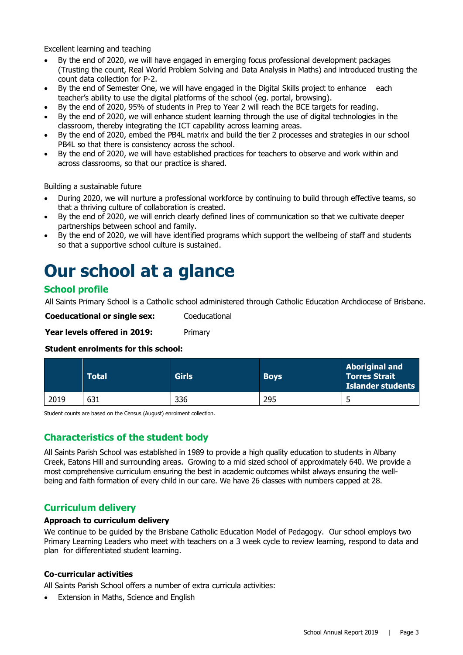Excellent learning and teaching

- By the end of 2020, we will have engaged in emerging focus professional development packages (Trusting the count, Real World Problem Solving and Data Analysis in Maths) and introduced trusting the count data collection for P-2.
- By the end of Semester One, we will have engaged in the Digital Skills project to enhance each teacher's ability to use the digital platforms of the school (eg. portal, browsing).
- By the end of 2020, 95% of students in Prep to Year 2 will reach the BCE targets for reading.
- By the end of 2020, we will enhance student learning through the use of digital technologies in the classroom, thereby integrating the ICT capability across learning areas.
- By the end of 2020, embed the PB4L matrix and build the tier 2 processes and strategies in our school PB4L so that there is consistency across the school.
- By the end of 2020, we will have established practices for teachers to observe and work within and across classrooms, so that our practice is shared.

Building a sustainable future

- During 2020, we will nurture a professional workforce by continuing to build through effective teams, so that a thriving culture of collaboration is created.
- By the end of 2020, we will enrich clearly defined lines of communication so that we cultivate deeper partnerships between school and family.
- By the end of 2020, we will have identified programs which support the wellbeing of staff and students so that a supportive school culture is sustained.

## **Our school at a glance**

#### **School profile**

All Saints Primary School is a Catholic school administered through Catholic Education Archdiocese of Brisbane.

**Coeducational or single sex:** Coeducational

Year levels offered in 2019: Primary

#### **Student enrolments for this school:**

|      | <b>Total</b> | <b>Girls</b> | <b>Boys</b> | <b>Aboriginal and</b><br><b>Torres Strait</b><br><b>Islander students</b> |
|------|--------------|--------------|-------------|---------------------------------------------------------------------------|
| 2019 | 631          | 336          | 295         | ے                                                                         |

Student counts are based on the Census (August) enrolment collection.

#### **Characteristics of the student body**

All Saints Parish School was established in 1989 to provide a high quality education to students in Albany Creek, Eatons Hill and surrounding areas. Growing to a mid sized school of approximately 640. We provide a most comprehensive curriculum ensuring the best in academic outcomes whilst always ensuring the wellbeing and faith formation of every child in our care. We have 26 classes with numbers capped at 28.

#### **Curriculum delivery**

#### **Approach to curriculum delivery**

We continue to be guided by the Brisbane Catholic Education Model of Pedagogy. Our school employs two Primary Learning Leaders who meet with teachers on a 3 week cycle to review learning, respond to data and plan for differentiated student learning.

#### **Co-curricular activities**

All Saints Parish School offers a number of extra curricula activities:

Extension in Maths, Science and English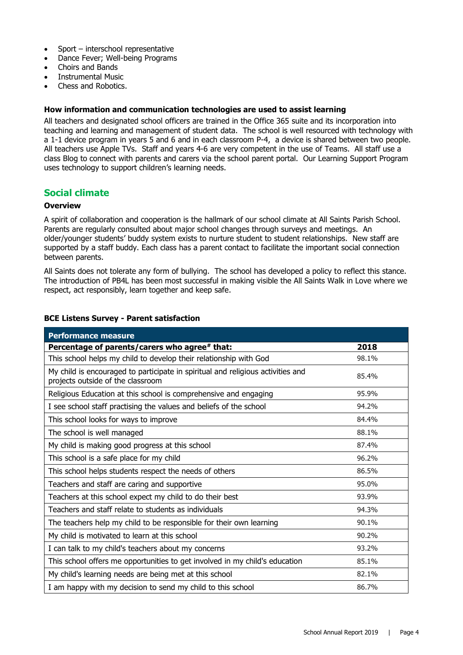- Sport interschool representative
- Dance Fever; Well-being Programs
- Choirs and Bands
- Instrumental Music
- Chess and Robotics.

#### **How information and communication technologies are used to assist learning**

All teachers and designated school officers are trained in the Office 365 suite and its incorporation into teaching and learning and management of student data. The school is well resourced with technology with a 1-1 device program in years 5 and 6 and in each classroom P-4, a device is shared between two people. All teachers use Apple TVs. Staff and years 4-6 are very competent in the use of Teams. All staff use a class Blog to connect with parents and carers via the school parent portal. Our Learning Support Program uses technology to support children's learning needs.

#### **Social climate**

#### **Overview**

A spirit of collaboration and cooperation is the hallmark of our school climate at All Saints Parish School. Parents are regularly consulted about major school changes through surveys and meetings. An older/younger students' buddy system exists to nurture student to student relationships. New staff are supported by a staff buddy. Each class has a parent contact to facilitate the important social connection between parents.

All Saints does not tolerate any form of bullying. The school has developed a policy to reflect this stance. The introduction of PB4L has been most successful in making visible the All Saints Walk in Love where we respect, act responsibly, learn together and keep safe.

|  |  |  | <b>BCE Listens Survey - Parent satisfaction</b> |
|--|--|--|-------------------------------------------------|
|--|--|--|-------------------------------------------------|

| <b>Performance measure</b>                                                                                           |       |
|----------------------------------------------------------------------------------------------------------------------|-------|
| Percentage of parents/carers who agree# that:                                                                        | 2018  |
| This school helps my child to develop their relationship with God                                                    | 98.1% |
| My child is encouraged to participate in spiritual and religious activities and<br>projects outside of the classroom | 85.4% |
| Religious Education at this school is comprehensive and engaging                                                     | 95.9% |
| I see school staff practising the values and beliefs of the school                                                   | 94.2% |
| This school looks for ways to improve                                                                                | 84.4% |
| The school is well managed                                                                                           | 88.1% |
| My child is making good progress at this school                                                                      | 87.4% |
| This school is a safe place for my child                                                                             | 96.2% |
| This school helps students respect the needs of others                                                               | 86.5% |
| Teachers and staff are caring and supportive                                                                         | 95.0% |
| Teachers at this school expect my child to do their best                                                             | 93.9% |
| Teachers and staff relate to students as individuals                                                                 | 94.3% |
| The teachers help my child to be responsible for their own learning                                                  | 90.1% |
| My child is motivated to learn at this school                                                                        | 90.2% |
| I can talk to my child's teachers about my concerns                                                                  | 93.2% |
| This school offers me opportunities to get involved in my child's education                                          | 85.1% |
| My child's learning needs are being met at this school                                                               | 82.1% |
| I am happy with my decision to send my child to this school                                                          | 86.7% |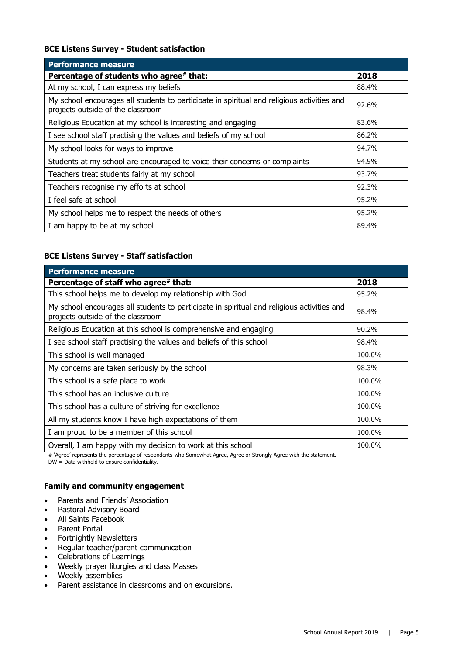#### **BCE Listens Survey - Student satisfaction**

| <b>Performance measure</b>                                                                                                      |       |
|---------------------------------------------------------------------------------------------------------------------------------|-------|
| Percentage of students who agree# that:                                                                                         | 2018  |
| At my school, I can express my beliefs                                                                                          | 88.4% |
| My school encourages all students to participate in spiritual and religious activities and<br>projects outside of the classroom | 92.6% |
| Religious Education at my school is interesting and engaging                                                                    | 83.6% |
| I see school staff practising the values and beliefs of my school                                                               | 86.2% |
| My school looks for ways to improve                                                                                             | 94.7% |
| Students at my school are encouraged to voice their concerns or complaints                                                      | 94.9% |
| Teachers treat students fairly at my school                                                                                     | 93.7% |
| Teachers recognise my efforts at school                                                                                         | 92.3% |
| I feel safe at school                                                                                                           | 95.2% |
| My school helps me to respect the needs of others                                                                               | 95.2% |
| I am happy to be at my school                                                                                                   | 89.4% |

#### **BCE Listens Survey - Staff satisfaction**

| <b>Performance measure</b>                                                                                                      |        |
|---------------------------------------------------------------------------------------------------------------------------------|--------|
| Percentage of staff who agree# that:                                                                                            | 2018   |
| This school helps me to develop my relationship with God                                                                        | 95.2%  |
| My school encourages all students to participate in spiritual and religious activities and<br>projects outside of the classroom | 98.4%  |
| Religious Education at this school is comprehensive and engaging                                                                | 90.2%  |
| I see school staff practising the values and beliefs of this school                                                             | 98.4%  |
| This school is well managed                                                                                                     | 100.0% |
| My concerns are taken seriously by the school                                                                                   | 98.3%  |
| This school is a safe place to work                                                                                             | 100.0% |
| This school has an inclusive culture                                                                                            | 100.0% |
| This school has a culture of striving for excellence                                                                            | 100.0% |
| All my students know I have high expectations of them                                                                           | 100.0% |
| I am proud to be a member of this school                                                                                        | 100.0% |
| Overall, I am happy with my decision to work at this school                                                                     | 100.0% |

# 'Agree' represents the percentage of respondents who Somewhat Agree, Agree or Strongly Agree with the statement.

DW = Data withheld to ensure confidentiality.

#### **Family and community engagement**

- Parents and Friends' Association
- Pastoral Advisory Board
- All Saints Facebook
- Parent Portal
- Fortnightly Newsletters
- Regular teacher/parent communication
- Celebrations of Learnings
- Weekly prayer liturgies and class Masses
- Weekly assemblies
- Parent assistance in classrooms and on excursions.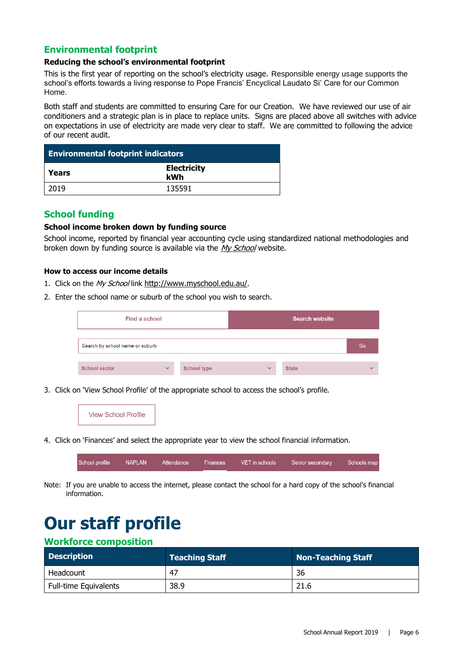#### **Environmental footprint**

#### **Reducing the school's environmental footprint**

This is the first year of reporting on the school's electricity usage. Responsible energy usage supports the school's efforts towards a living response to Pope Francis' Encyclical Laudato Si' Care for our Common Home.

Both staff and students are committed to ensuring Care for our Creation. We have reviewed our use of air conditioners and a strategic plan is in place to replace units. Signs are placed above all switches with advice on expectations in use of electricity are made very clear to staff. We are committed to following the advice of our recent audit.

| <b>Environmental footprint indicators</b> |                           |  |
|-------------------------------------------|---------------------------|--|
| Years                                     | <b>Electricity</b><br>kWh |  |
| 2019                                      | 135591                    |  |

#### **School funding**

#### **School income broken down by funding source**

School income, reported by financial year accounting cycle using standardized national methodologies and broken down by funding source is available via the [My School](http://www.myschool.edu.au/) website.

#### **How to access our income details**

- 1. Click on the My School link <http://www.myschool.edu.au/>.
- 2. Enter the school name or suburb of the school you wish to search.

| Find a school                   |              |                    | <b>Search website</b> |              |              |
|---------------------------------|--------------|--------------------|-----------------------|--------------|--------------|
| Search by school name or suburb |              |                    |                       |              | Go           |
| <b>School sector</b>            | $\checkmark$ | <b>School type</b> | $\checkmark$          | <b>State</b> | $\checkmark$ |

3. Click on 'View School Profile' of the appropriate school to access the school's profile.



4. Click on 'Finances' and select the appropriate year to view the school financial information.



Note: If you are unable to access the internet, please contact the school for a hard copy of the school's financial information.

# **Our staff profile**

#### **Workforce composition**

| <b>Description</b>    | <b>Teaching Staff</b> | Non-Teaching Staff |
|-----------------------|-----------------------|--------------------|
| Headcount             | 47                    | 36                 |
| Full-time Equivalents | 38.9                  | 21.6               |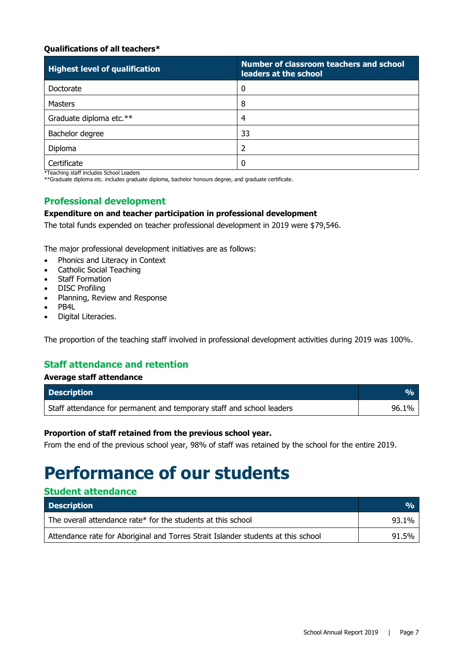#### **Qualifications of all teachers\***

| <b>Highest level of qualification</b> | Number of classroom teachers and school<br>leaders at the school |
|---------------------------------------|------------------------------------------------------------------|
| Doctorate                             | 0                                                                |
| <b>Masters</b>                        | 8                                                                |
| Graduate diploma etc.**               | 4                                                                |
| Bachelor degree                       | 33                                                               |
| Diploma                               |                                                                  |
| Certificate                           | 0                                                                |

\*Teaching staff includes School Leaders

\*\*Graduate diploma etc. includes graduate diploma, bachelor honours degree, and graduate certificate.

#### **Professional development**

#### **Expenditure on and teacher participation in professional development**

The total funds expended on teacher professional development in 2019 were \$79,546.

The major professional development initiatives are as follows:

- Phonics and Literacy in Context
- Catholic Social Teaching
- Staff Formation
- DISC Profiling
- Planning, Review and Response
- PB4L
- Digital Literacies.

The proportion of the teaching staff involved in professional development activities during 2019 was 100%.

#### **Staff attendance and retention**

#### **Average staff attendance**

**Student attendance**

| <b>Description</b>                                                    |       |
|-----------------------------------------------------------------------|-------|
| Staff attendance for permanent and temporary staff and school leaders | 96.1% |

#### **Proportion of staff retained from the previous school year.**

From the end of the previous school year, 98% of staff was retained by the school for the entire 2019.

### **Performance of our students**

| staacht attenaante                                                                |               |  |  |  |
|-----------------------------------------------------------------------------------|---------------|--|--|--|
| <b>Description</b>                                                                | $\frac{1}{2}$ |  |  |  |
| The overall attendance rate* for the students at this school                      | 93.1%         |  |  |  |
| Attendance rate for Aboriginal and Torres Strait Islander students at this school | 91.5%         |  |  |  |